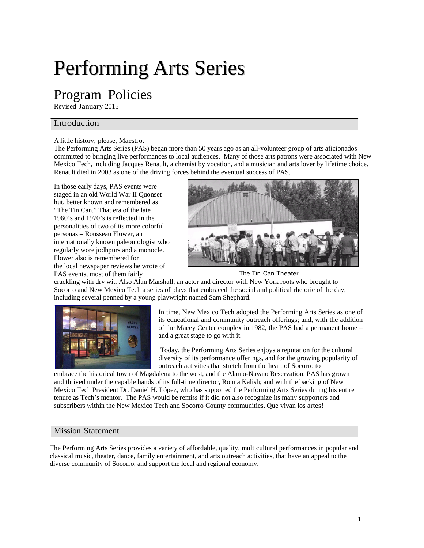# Performing Arts Series

# Program Policies

Revised January 2015

## Introduction

#### A little history, please, Maestro.

The Performing Arts Series (PAS) began more than 50 years ago as an all-volunteer group of arts aficionados committed to bringing live performances to local audiences. Many of those arts patrons were associated with New Mexico Tech, including Jacques Renault, a chemist by vocation, and a musician and arts lover by lifetime choice. Renault died in 2003 as one of the driving forces behind the eventual success of PAS.

In those early days, PAS events were staged in an old World War II Quonset hut, better known and remembered as "The Tin Can." That era of the late 1960's and 1970's is reflected in the personalities of two of its more colorful personas – Rousseau Flower, an internationally known paleontologist who regularly wore jodhpurs and a monocle. Flower also is remembered for the local newspaper reviews he wrote of PAS events, most of them fairly The Tin Can Theater



crackling with dry wit. Also Alan Marshall, an actor and director with New York roots who brought to Socorro and New Mexico Tech a series of plays that embraced the social and political rhetoric of the day, including several penned by a young playwright named Sam Shephard.



In time, New Mexico Tech adopted the Performing Arts Series as one of its educational and community outreach offerings; and, with the addition of the Macey Center complex in 1982, the PAS had a permanent home – and a great stage to go with it.

Today, the Performing Arts Series enjoys a reputation for the cultural diversity of its performance offerings, and for the growing popularity of outreach activities that stretch from the heart of Socorro to

embrace the historical town of Magdalena to the west, and the Alamo-Navajo Reservation. PAS has grown and thrived under the capable hands of its full-time director, Ronna Kalish; and with the backing of New Mexico Tech President Dr. Daniel H. López, who has supported the Performing Arts Series during his entire tenure as Tech's mentor. The PAS would be remiss if it did not also recognize its many supporters and subscribers within the New Mexico Tech and Socorro County communities. Que vivan los artes!

#### Mission Statement

The Performing Arts Series provides a variety of affordable, quality, multicultural performances in popular and classical music, theater, dance, family entertainment, and arts outreach activities, that have an appeal to the diverse community of Socorro, and support the local and regional economy.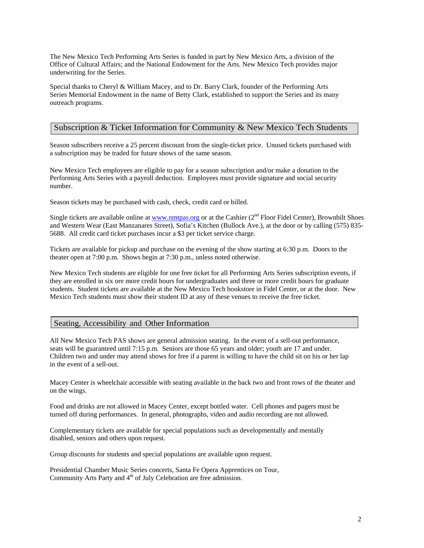The New Mexico Tech Performing Arts Series is funded in part by New Mexico Arts, a division of the Office of Cultural Affairs; and the National Endowment for the Arts. New Mexico Tech provides major underwriting for the Series.

Special thanks to Cheryl & William Macey, and to Dr. Barry Clark, founder of the Performing Arts Series Memorial Endowment in the name of Betty Clark, established to support the Series and its many outreach programs.

#### Subscription & Ticket Information for Community & New Mexico Tech Students

Season subscribers receive a 25 percent discount from the single-ticket price. Unused tickets purchased with a subscription may be traded for future shows of the same season.

New Mexico Tech employees are eligible to pay for a season subscription and/or make a donation to the Performing Arts Series with a payroll deduction. Employees must provide signature and social security number.

Season tickets may be purchased with cash, check, credit card or billed.

Single tickets are available online at [www.nmtpas.org](http://www.nmtpas.org/) or at the Cashier  $(2^{nd}$  Floor Fidel Center), Brownbilt Shoes and Western Wear (East Manzanares Street), Sofia's Kitchen (Bullock Ave.), at the door or by calling (575) 835- 5688. All credit card ticket purchases incur a \$3 per ticket service charge.

Tickets are available for pickup and purchase on the evening of the show starting at 6:30 p.m. Doors to the theater open at 7:00 p.m. Shows begin at 7:30 p.m., unless noted otherwise.

New Mexico Tech students are eligible for one free ticket for all Performing Arts Series subscription events, if they are enrolled in six ore more credit hours for undergraduates and three or more credit hours for graduate students. Student tickets are available at the New Mexico Tech bookstore in Fidel Center, or at the door. New Mexico Tech students must show their student ID at any of these venues to receive the free ticket.

#### Seating, Accessibility and Other Information

All New Mexico Tech PAS shows are general admission seating. In the event of a sell-out performance, seats will be guaranteed until 7:15 p.m. Seniors are those 65 years and older; youth are 17 and under. Children two and under may attend shows for free if a parent is willing to have the child sit on his or her lap in the event of a sell-out.

Macey Center is wheelchair accessible with seating available in the back two and front rows of the theater and on the wings.

Food and drinks are not allowed in Macey Center, except bottled water. Cell phones and pagers must be turned off during performances. In general, photographs, video and audio recording are not allowed.

Complementary tickets are available for special populations such as developmentally and mentally disabled, seniors and others upon request.

Group discounts for students and special populations are available upon request.

Presidential Chamber Music Series concerts, Santa Fe Opera Apprentices on Tour, Community Arts Party and 4<sup>th</sup> of July Celebration are free admission.